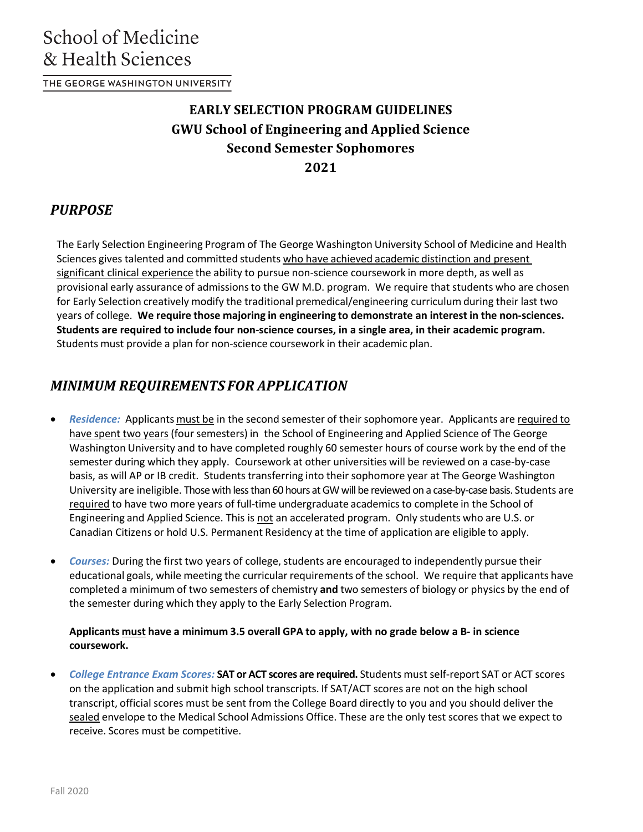THE GEORGE WASHINGTON UNIVERSITY

# **EARLY SELECTION PROGRAM GUIDELINES GWU School of Engineering and Applied Science Second Semester Sophomores 2021**

## *PURPOSE*

The Early Selection Engineering Program of The George Washington University School of Medicine and Health Sciences gives talented and committed students who have achieved academic distinction and present significant clinical experience the ability to pursue non-science coursework in more depth, as well as provisional early assurance of admissionsto the GW M.D. program. We require that students who are chosen for Early Selection creatively modify the traditional premedical/engineering curriculum during their last two years of college. **We require those majoring in engineering to demonstrate an interest in the non-sciences. Students are required to include four non-science courses, in a single area, in their academic program.** Students must provide a plan for non-science coursework in their academic plan.

# *MINIMUM REQUIREMENTS FOR APPLICATION*

- *Residence:* Applicants must be in the second semester of their sophomore year. Applicants are required to have spent two years (four semesters) in the School of Engineering and Applied Science of The George Washington University and to have completed roughly 60 semester hours of course work by the end of the semester during which they apply. Coursework at other universities will be reviewed on a case-by-case basis, as will AP or IB credit. Students transferring into their sophomore year at The George Washington University are ineligible. Those with less than 60 hours at GW will be reviewed on a case-by-case basis. Students are required to have two more years of full-time undergraduate academicsto complete in the School of Engineering and Applied Science. This is not an accelerated program. Only students who are U.S. or Canadian Citizens or hold U.S. Permanent Residency at the time of application are eligible to apply.
- Courses: During the first two years of college, students are encouraged to independently pursue their educational goals, while meeting the curricular requirements of the school. We require that applicants have completed a minimum of two semesters of chemistry **and** two semesters of biology or physics by the end of the semester during which they apply to the Early Selection Program.

#### **Applicants must have a minimum 3.5 overall GPA to apply, with no grade below a B- in science coursework.**

• *College Entrance Exam Scores:* **SAT or ACT scores are required.** Students must self-report SAT or ACT scores on the application and submit high school transcripts. If SAT/ACT scores are not on the high school transcript, official scores must be sent from the College Board directly to you and you should deliver the sealed envelope to the Medical School Admissions Office. These are the only test scores that we expect to receive. Scores must be competitive.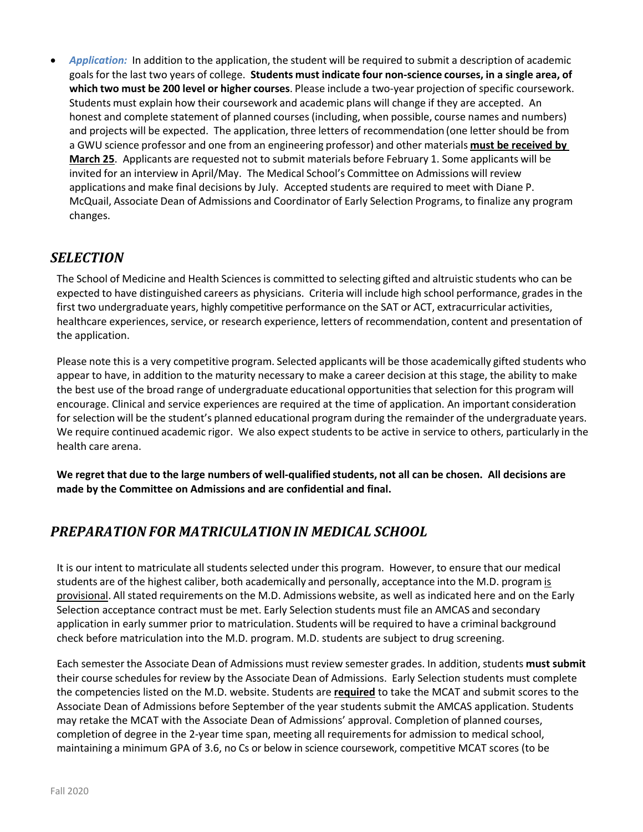• *Application:* In addition to the application, the student will be required to submit a description of academic goals for the last two years of college. **Students must indicate four non-science courses, in a single area, of which two must be 200 level or higher courses**. Please include a two-year projection of specific coursework. Students must explain how their coursework and academic plans will change if they are accepted. An honest and complete statement of planned courses (including, when possible, course names and numbers) and projects will be expected. The application, three letters of recommendation (one letter should be from a GWU science professor and one from an engineering professor) and other materials **must be received by March 25**. Applicants are requested not to submit materials before February 1. Some applicants will be invited for an interview in April/May. The Medical School's Committee on Admissions will review applications and make final decisions by July. Accepted students are required to meet with Diane P. McQuail, Associate Dean of Admissions and Coordinator of Early Selection Programs, to finalize any program changes.

### *SELECTION*

The School of Medicine and Health Sciencesis committed to selecting gifted and altruistic students who can be expected to have distinguished careers as physicians. Criteria will include high school performance, grades in the first two undergraduate years, highly competitive performance on the SAT or ACT, extracurricular activities, healthcare experiences, service, or research experience, letters of recommendation, content and presentation of the application.

Please note this is a very competitive program. Selected applicants will be those academically gifted students who appear to have, in addition to the maturity necessary to make a career decision at this stage, the ability to make the best use of the broad range of undergraduate educational opportunitiesthat selection for this program will encourage. Clinical and service experiences are required at the time of application. An important consideration for selection will be the student's planned educational program during the remainder of the undergraduate years. We require continued academic rigor. We also expect students to be active in service to others, particularly in the health care arena.

**We regret that due to the large numbers of well-qualified students, not all can be chosen. All decisions are made by the Committee on Admissions and are confidential and final.**

### *PREPARATION FOR MATRICULATIONIN MEDICAL SCHOOL*

It is our intent to matriculate all students selected under this program. However, to ensure that our medical students are of the highest caliber, both academically and personally, acceptance into the M.D. program is provisional. All stated requirements on the M.D. Admissions website, as well as indicated here and on the Early Selection acceptance contract must be met. Early Selection students must file an AMCAS and secondary application in early summer prior to matriculation. Students will be required to have a criminal background check before matriculation into the M.D. program. M.D. students are subject to drug screening.

Each semester the Associate Dean of Admissions must review semester grades. In addition, students must submit their course schedules for review by the Associate Dean of Admissions. Early Selection students must complete the competencies listed on the M.D. website. Students are **required** to take the MCAT and submit scores to the Associate Dean of Admissions before September of the year students submit the AMCAS application. Students may retake the MCAT with the Associate Dean of Admissions' approval. Completion of planned courses, completion of degree in the 2-year time span, meeting all requirementsfor admission to medical school, maintaining a minimum GPA of 3.6, no Cs or below in science coursework, competitive MCAT scores (to be